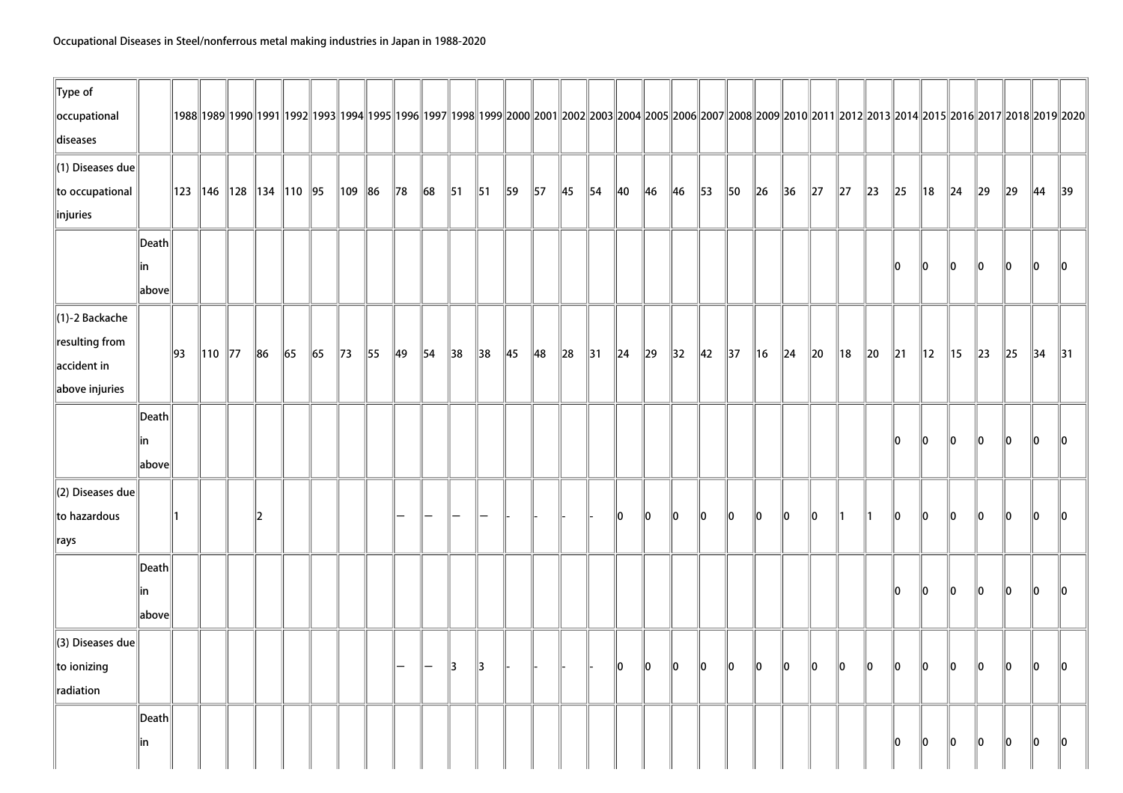| $\ $ Type of                 |                 |                |                                  |               |    |                |                |    |                |                |                |                |                |                |                |                |            |                |                |                |                |                |                |          |                |          |            |                |                |          |                                                                                                                                                                                                      |                |                |
|------------------------------|-----------------|----------------|----------------------------------|---------------|----|----------------|----------------|----|----------------|----------------|----------------|----------------|----------------|----------------|----------------|----------------|------------|----------------|----------------|----------------|----------------|----------------|----------------|----------|----------------|----------|------------|----------------|----------------|----------|------------------------------------------------------------------------------------------------------------------------------------------------------------------------------------------------------|----------------|----------------|
| occupational                 |                 |                |                                  |               |    |                |                |    |                |                |                |                |                |                |                |                |            |                |                |                |                |                |                |          |                |          |            |                |                |          | 1988  1989  1990  1991  1992  1993  1994  1995  1996  1997  1998  1999  2000  2001  2002  2003  2004  2005  2006  2007  2008  2009  2010  2011  2012  2013  2014  2015  2016  2017  2018  2019  2020 |                |                |
| diseases                     |                 |                |                                  |               |    |                |                |    |                |                |                |                |                |                |                |                |            |                |                |                |                |                |                |          |                |          |            |                |                |          |                                                                                                                                                                                                      |                |                |
| $\ $ (1) Diseases due        |                 |                |                                  |               |    |                |                |    |                |                |                |                |                |                |                |                |            |                |                |                |                |                |                |          |                |          |            |                |                |          |                                                                                                                                                                                                      |                |                |
| to occupational              |                 |                | 123   146   128   134   110   95 |               |    |                | $\ 109\ 86$    |    | $\parallel$ 78 | $\ 68$         | $\vert$ 51     | $\parallel$ 51 | 59             | $\parallel$ 57 | $\parallel$ 45 | $\parallel$ 54 | 40         | 46             | $\ $ 46        | $\parallel$ 53 | $\parallel$ 50 | $\ $ 26        | $\parallel$ 36 | $\ 27\ $ | $\ 27\ $       | $\ 23\ $ | $\ 25$     | ∥18            | $\ $ 24        | $\ 29\ $ | $\ 29\ $                                                                                                                                                                                             | $\parallel$ 44 | $\parallel$ 39 |
| $\ $ injuries                |                 |                |                                  |               |    |                |                |    |                |                |                |                |                |                |                |                |            |                |                |                |                |                |                |          |                |          |            |                |                |          |                                                                                                                                                                                                      |                |                |
|                              | $\ $ Death $\ $ |                |                                  |               |    |                |                |    |                |                |                |                |                |                |                |                |            |                |                |                |                |                |                |          |                |          |            |                |                |          |                                                                                                                                                                                                      |                |                |
|                              | in              |                |                                  |               |    |                |                |    |                |                |                |                |                |                |                |                |            |                |                |                |                |                |                |          |                |          | 10         | 10             | 10             | 10       | 10                                                                                                                                                                                                   | 10             | 10             |
|                              | above           |                |                                  |               |    |                |                |    |                |                |                |                |                |                |                |                |            |                |                |                |                |                |                |          |                |          |            |                |                |          |                                                                                                                                                                                                      |                |                |
| $\ $ (1)-2 Backache          |                 |                |                                  |               |    |                |                |    |                |                |                |                |                |                |                |                |            |                |                |                |                |                |                |          |                |          |            |                |                |          |                                                                                                                                                                                                      |                |                |
| $\ $ resulting from          |                 |                |                                  |               |    |                |                |    |                |                |                |                |                |                |                |                |            |                |                |                |                |                |                |          |                |          |            |                |                |          |                                                                                                                                                                                                      |                |                |
| $\parallel$ accident in      |                 | $\parallel$ 93 | $\ 110\ $ 77                     | $\ 86$        | 65 | $\parallel$ 65 | $\parallel$ 73 | 55 | $\parallel$ 49 | $\parallel$ 54 | $\parallel$ 38 | $\parallel$ 38 | $\parallel$ 45 | 48             | $\ 28\ $       | $\parallel$ 31 | $\vert$ 24 | $\parallel$ 29 | $\parallel$ 32 | $\parallel$ 42 | $\parallel$ 37 | $\parallel$ 16 | $\vert$ 24     | $\ 20\ $ | $\parallel$ 18 | $\ 20\ $ | $\vert$ 21 | $\parallel$ 12 | $\parallel$ 15 | $\ 23\ $ | $\ 25\ $                                                                                                                                                                                             | $\parallel$ 34 | $\parallel$ 31 |
| $\ $ above injuries          |                 |                |                                  |               |    |                |                |    |                |                |                |                |                |                |                |                |            |                |                |                |                |                |                |          |                |          |            |                |                |          |                                                                                                                                                                                                      |                |                |
|                              | $\ $ Death $\ $ |                |                                  |               |    |                |                |    |                |                |                |                |                |                |                |                |            |                |                |                |                |                |                |          |                |          |            |                |                |          |                                                                                                                                                                                                      |                |                |
|                              | in              |                |                                  |               |    |                |                |    |                |                |                |                |                |                |                |                |            |                |                |                |                |                |                |          |                |          | 10         | 10             | 10             | 10       | 10                                                                                                                                                                                                   | 10             | ll0            |
|                              | above           |                |                                  |               |    |                |                |    |                |                |                |                |                |                |                |                |            |                |                |                |                |                |                |          |                |          |            |                |                |          |                                                                                                                                                                                                      |                |                |
| $\parallel$ (2) Diseases due |                 |                |                                  |               |    |                |                |    |                |                |                |                |                |                |                |                |            |                |                |                |                |                |                |          |                |          |            |                |                |          |                                                                                                                                                                                                      |                |                |
| to hazardous                 |                 | 11             |                                  | $\parallel$ 2 |    |                |                |    |                |                |                |                |                |                |                |                | 10         | llo.           | 10             | 10             | 10             | 10             | 10             | llo.     |                |          | 10         | llo.           | 10             | 110      | 10                                                                                                                                                                                                   | 10             | 10             |
| $\parallel$ rays             |                 |                |                                  |               |    |                |                |    |                |                |                |                |                |                |                |                |            |                |                |                |                |                |                |          |                |          |            |                |                |          |                                                                                                                                                                                                      |                |                |
|                              | Death           |                |                                  |               |    |                |                |    |                |                |                |                |                |                |                |                |            |                |                |                |                |                |                |          |                |          |            |                |                |          |                                                                                                                                                                                                      |                |                |
|                              | in              |                |                                  |               |    |                |                |    |                |                |                |                |                |                |                |                |            |                |                |                |                |                |                |          |                |          | llO.       | 10             | $\ 0\ $        | 10       | $\ 0\ $                                                                                                                                                                                              | 10             | 10             |
|                              | above           |                |                                  |               |    |                |                |    |                |                |                |                |                |                |                |                |            |                |                |                |                |                |                |          |                |          |            |                |                |          |                                                                                                                                                                                                      |                |                |
| $\ $ (3) Diseases due        |                 |                |                                  |               |    |                |                |    |                |                |                |                |                |                |                |                |            |                |                |                |                |                |                |          |                |          |            |                |                |          |                                                                                                                                                                                                      |                |                |
| $\ $ to ionizing             |                 |                |                                  |               |    |                |                |    |                | $\overline{}$  | 3              | $\parallel$ 3  |                |                |                |                | 10         | 10             | 10             | $\ 0\ $        | lo.            | $\ 0\ $        | $ 0\rangle$    | $\ 0\ $  | $ 0\rangle$    | $\ 0\ $  | lo.        | 10             | lo.            | lo.      | $\ 0\ $                                                                                                                                                                                              | $\ 0\ $        | 10             |
| radiation                    |                 |                |                                  |               |    |                |                |    |                |                |                |                |                |                |                |                |            |                |                |                |                |                |                |          |                |          |            |                |                |          |                                                                                                                                                                                                      |                |                |
|                              | Death           |                |                                  |               |    |                |                |    |                |                |                |                |                |                |                |                |            |                |                |                |                |                |                |          |                |          |            |                |                |          |                                                                                                                                                                                                      |                |                |
|                              | in              |                |                                  |               |    |                |                |    |                |                |                |                |                |                |                |                |            |                |                |                |                |                |                |          |                |          | 10         | 10             | $\ 0\ $        | 10       | $\ 0\ $                                                                                                                                                                                              | 10             | 10             |
|                              |                 |                |                                  |               |    |                |                |    |                |                |                |                |                |                |                |                |            |                |                |                |                |                |                |          |                |          |            |                |                |          |                                                                                                                                                                                                      |                |                |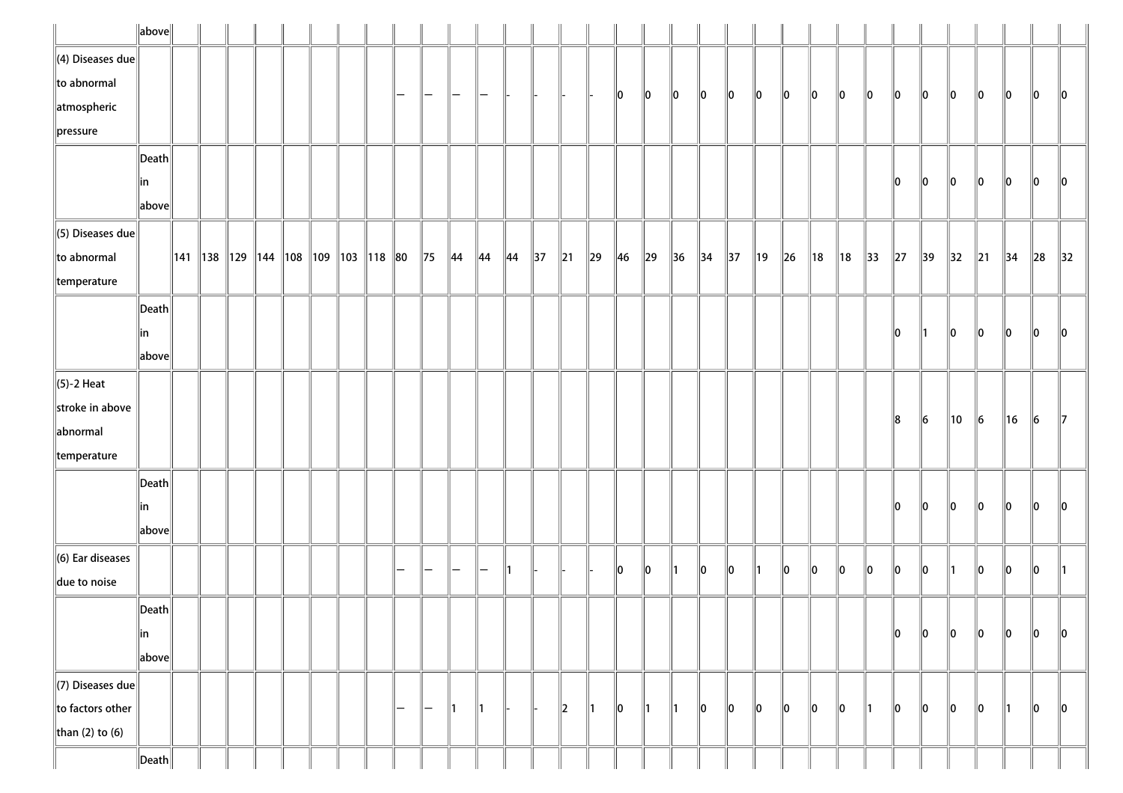|                              | $\ $ above $\ $                        |  |  |  |                                             |   |                |                |                          |                |                |                          |               |                |               |                |                |            |     |    |     |                |                |                |                |                |           |                |          |                |
|------------------------------|----------------------------------------|--|--|--|---------------------------------------------|---|----------------|----------------|--------------------------|----------------|----------------|--------------------------|---------------|----------------|---------------|----------------|----------------|------------|-----|----|-----|----------------|----------------|----------------|----------------|----------------|-----------|----------------|----------|----------------|
| $\Vert$ (4) Diseases due     |                                        |  |  |  |                                             |   |                |                |                          |                |                |                          |               |                |               |                |                |            |     |    |     |                |                |                |                |                |           |                |          |                |
| to abnormal                  |                                        |  |  |  |                                             | - | -              | -              |                          |                |                |                          |               | $\parallel$ 0  | 10            | $\ 0\ $        | 10             | 10         | 10  | 10 | 10  | 10             | 10             | 10             | 10             | 10             | 10        | 10             | 10       | 10             |
| atmospheric                  |                                        |  |  |  |                                             |   |                |                |                          |                |                |                          |               |                |               |                |                |            |     |    |     |                |                |                |                |                |           |                |          |                |
| $\ $ pressure                |                                        |  |  |  |                                             |   |                |                |                          |                |                |                          |               |                |               |                |                |            |     |    |     |                |                |                |                |                |           |                |          |                |
|                              | $\vert$ Death $\vert$                  |  |  |  |                                             |   |                |                |                          |                |                |                          |               |                |               |                |                |            |     |    |     |                |                |                |                |                |           |                |          |                |
|                              | in                                     |  |  |  |                                             |   |                |                |                          |                |                |                          |               |                |               |                |                |            |     |    |     |                |                | 10             | 10             | 10             | 10        | 10             | 10       | 10             |
|                              | above                                  |  |  |  |                                             |   |                |                |                          |                |                |                          |               |                |               |                |                |            |     |    |     |                |                |                |                |                |           |                |          |                |
| $\ $ (5) Diseases due        |                                        |  |  |  |                                             |   |                |                |                          |                |                |                          |               |                |               |                |                |            |     |    |     |                |                |                |                |                |           |                |          |                |
| $\ $ to abnormal             |                                        |  |  |  | ∥141 ∥138 ∥129 ∥144 ∥108 ∥109 ∥103 ∥118 ∥80 |   | $\parallel$ 75 | $\parallel$ 44 | $\parallel$ 44           | $\parallel$ 44 | $\parallel$ 37 | $\parallel$ 21           | $\ 29\ $      | $\parallel$ 46 | $\ 29\ $      | $\parallel$ 36 | $\parallel$ 34 | $\vert$ 37 | ∥19 | 26 | ∥18 | $\parallel$ 18 | $\parallel$ 33 | $\parallel$ 27 | $\parallel$ 39 | $\parallel$ 32 | $\ 21$    | $\parallel$ 34 | $\ 28\ $ | $\parallel$ 32 |
| $\parallel$ temperature      |                                        |  |  |  |                                             |   |                |                |                          |                |                |                          |               |                |               |                |                |            |     |    |     |                |                |                |                |                |           |                |          |                |
|                              | Death                                  |  |  |  |                                             |   |                |                |                          |                |                |                          |               |                |               |                |                |            |     |    |     |                |                |                |                |                |           |                |          |                |
|                              | in                                     |  |  |  |                                             |   |                |                |                          |                |                |                          |               |                |               |                |                |            |     |    |     |                |                | 10             | ∥1             | 10             | 10        | 10             | 10       | 10             |
|                              | above                                  |  |  |  |                                             |   |                |                |                          |                |                |                          |               |                |               |                |                |            |     |    |     |                |                |                |                |                |           |                |          |                |
| $\ $ (5)-2 Heat              |                                        |  |  |  |                                             |   |                |                |                          |                |                |                          |               |                |               |                |                |            |     |    |     |                |                |                |                |                |           |                |          |                |
| stroke in above              |                                        |  |  |  |                                             |   |                |                |                          |                |                |                          |               |                |               |                |                |            |     |    |     |                |                |                | $\parallel$ 6  |                |           |                |          | $\parallel$ 7  |
| abnormal                     |                                        |  |  |  |                                             |   |                |                |                          |                |                |                          |               |                |               |                |                |            |     |    |     |                |                | 8              |                | $\parallel$ 10 | $\vert$ 6 | ∥16            | 16       |                |
| $\parallel$ temperature      |                                        |  |  |  |                                             |   |                |                |                          |                |                |                          |               |                |               |                |                |            |     |    |     |                |                |                |                |                |           |                |          |                |
|                              | $\ $ Death $\ $                        |  |  |  |                                             |   |                |                |                          |                |                |                          |               |                |               |                |                |            |     |    |     |                |                |                |                |                |           |                |          |                |
|                              | in                                     |  |  |  |                                             |   |                |                |                          |                |                |                          |               |                |               |                |                |            |     |    |     |                |                | 10             | 10             | 10             | 10        | 10             | 10       | $\ 0\ $        |
|                              | $\ $ above $\ $                        |  |  |  |                                             |   |                |                |                          |                |                |                          |               |                |               |                |                |            |     |    |     |                |                |                |                |                |           |                |          |                |
| $\parallel$ (6) Ear diseases |                                        |  |  |  |                                             |   |                |                |                          |                |                |                          |               |                |               |                |                |            |     |    |     |                |                |                |                |                |           |                |          |                |
| due to noise                 |                                        |  |  |  |                                             |   |                |                | $\overline{\phantom{0}}$ | ∥1             |                |                          |               | 10             | 10            | ∥1             | 10             | 10         | ∥1  | 10 | 10  | 10             | 10             | llo            | 10             | 11             | 10        | 10             | 10       | ∥1             |
|                              | $\left\Vert \mathsf{Death}\right\Vert$ |  |  |  |                                             |   |                |                |                          |                |                |                          |               |                |               |                |                |            |     |    |     |                |                |                |                |                |           |                |          |                |
|                              | ∥in                                    |  |  |  |                                             |   |                |                |                          |                |                |                          |               |                |               |                |                |            |     |    |     |                |                | 10             | $\ 0\ $        | $\ 0\ $        | 10        | 10             | 10       | 10             |
|                              | above                                  |  |  |  |                                             |   |                |                |                          |                |                |                          |               |                |               |                |                |            |     |    |     |                |                |                |                |                |           |                |          |                |
| $\Vert$ (7) Diseases due     |                                        |  |  |  |                                             |   |                |                |                          |                |                |                          |               |                |               |                |                |            |     |    |     |                |                |                |                |                |           |                |          |                |
| $\ $ to factors other        |                                        |  |  |  |                                             | — | —              | ∥1             | ∥1                       |                |                | $\parallel$ <sub>2</sub> | $\parallel$ 1 | $\parallel$ 0  | $\parallel$ 1 | $\parallel$ 1  | 10             | 10         | 10  | 10 | 10  | 10             | ∥1             | 10             | 10             | 10             | 10        | 11             | 10       | 10             |
| than (2) to (6)              |                                        |  |  |  |                                             |   |                |                |                          |                |                |                          |               |                |               |                |                |            |     |    |     |                |                |                |                |                |           |                |          |                |
|                              | $\ $ Death $\ $                        |  |  |  |                                             |   |                |                |                          |                |                |                          |               |                |               |                |                |            |     |    |     |                |                |                |                |                |           |                |          |                |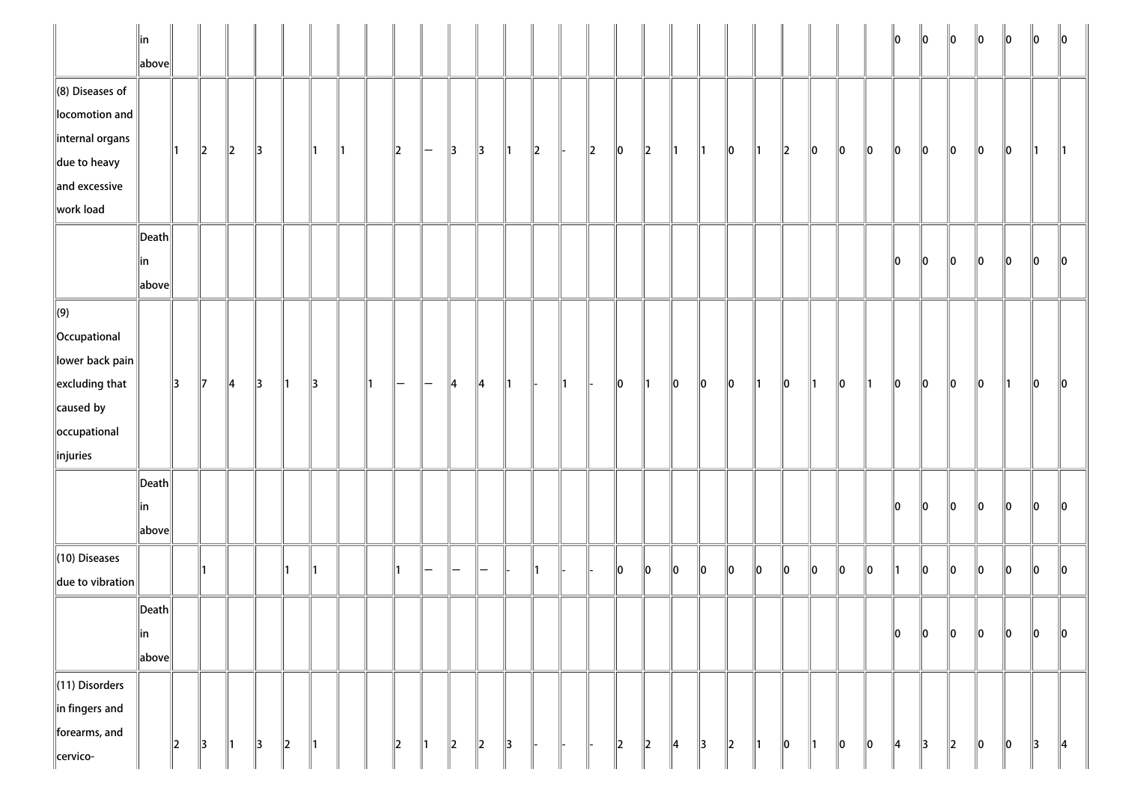|                                                                                                                                      | $\parallel$ in<br>$\ $ above $\ $               |               |               |               |               |                          |               |    |    |         |                |               |               |               |               |     |         |         |               |               |               |         |               |    |    |    |    | 10 | 10 | $\ 0\ $ | 10 | $\parallel$ 0 | 10  | $\parallel$ 0 |
|--------------------------------------------------------------------------------------------------------------------------------------|-------------------------------------------------|---------------|---------------|---------------|---------------|--------------------------|---------------|----|----|---------|----------------|---------------|---------------|---------------|---------------|-----|---------|---------|---------------|---------------|---------------|---------|---------------|----|----|----|----|----|----|---------|----|---------------|-----|---------------|
| $\ $ (8) Diseases of<br>locomotion and<br>$\parallel$ internal organs<br>$\parallel$ due to heavy<br>$\ $ and excessive<br>work load |                                                 |               | $\ 2\ $       | $\ 2\ $       | $\parallel$ 3 |                          | ∥1            | ∥1 |    | $\ 2\ $ | -              | $\parallel$ 3 | $\parallel$ 3 | $\parallel$ 1 | $\parallel$ 2 |     | $\ 2\ $ | $\ 0\ $ | $\ 2\ $       | ∥1            | ∥1            | 10      | ∥1            | 2  | 10 | 10 | 10 | 10 | 10 | 10      | 10 | 10            | 11. | $\parallel$ 1 |
|                                                                                                                                      | $\vert$ Death $\vert$<br>∥in<br>$\ $ above $\ $ |               |               |               |               |                          |               |    |    |         |                |               |               |               |               |     |         |         |               |               |               |         |               |    |    |    |    | 10 | 10 | 10      | 10 | 10            | 0   | 10            |
| $\Vert(9)$<br>  Occupational<br>lower back pain<br>$\parallel$ excluding that<br>$\ $ caused by<br>occupational<br>$\ $ injuries     |                                                 | 3             | $\parallel$ 7 | $\parallel$ 4 | $\parallel$ 3 | $\parallel$ 1            | 13            |    | ∥1 | —       | -              | $\parallel 4$ | $\parallel$ 4 | $\parallel$ 1 |               | 11. |         | $\ 0\ $ | $\parallel$ 1 | 10            | 10            | 10      | ∥1            | 10 | ∥1 | 10 | ∥1 | 10 | 10 | $\ 0\ $ | 10 | 11            | 10  | $\parallel$ 0 |
|                                                                                                                                      | $\vert$ Death $\vert$<br>∥in<br>above           |               |               |               |               |                          |               |    |    |         |                |               |               |               |               |     |         |         |               |               |               |         |               |    |    |    |    | 10 | 10 | 10      | 10 | 10            | 10  | 10            |
| $(10)$ Diseases<br>due to vibration                                                                                                  |                                                 |               |               |               |               |                          | ∥1            |    |    |         |                |               |               |               | $\mathsf{I}$  |     |         | $\ 0\ $ | 10            | 10            | 10            | $\ 0\ $ | 10            | 10 | 10 | 10 | 10 |    | ∥o | 10      | 10 | 10            | 10  | $\ 0\ $       |
|                                                                                                                                      | $\ $ Death $\ $<br>$\ $ in<br>$\ $ above $\ $   |               |               |               |               |                          |               |    |    |         |                |               |               |               |               |     |         |         |               |               |               |         |               |    |    |    |    | 10 | 0  | $\ 0\ $ | 10 | 10            | 10  | 10            |
| $\ $ (11) Disorders<br>$\ $ in fingers and<br>forearms, and<br>cervico-                                                              |                                                 | $\parallel$ 2 | $\parallel$ 3 | $\parallel$ 1 | $\parallel$ 3 | $\parallel$ <sub>2</sub> | $\parallel$ 1 |    |    | 2       | $\mathsf{I}$ 1 | $\parallel$   | $\ 2\ $       | $\parallel$ 3 |               |     |         | $\ 2\ $ | $\ 2\ $       | $\parallel$ 4 | $\parallel$ 3 | $\ 2\ $ | $\parallel$ 1 | 10 | ∥1 | 10 | 10 | 14 | 3  | $\ 2\ $ | 0  | 10            | 3   | $\parallel$ 4 |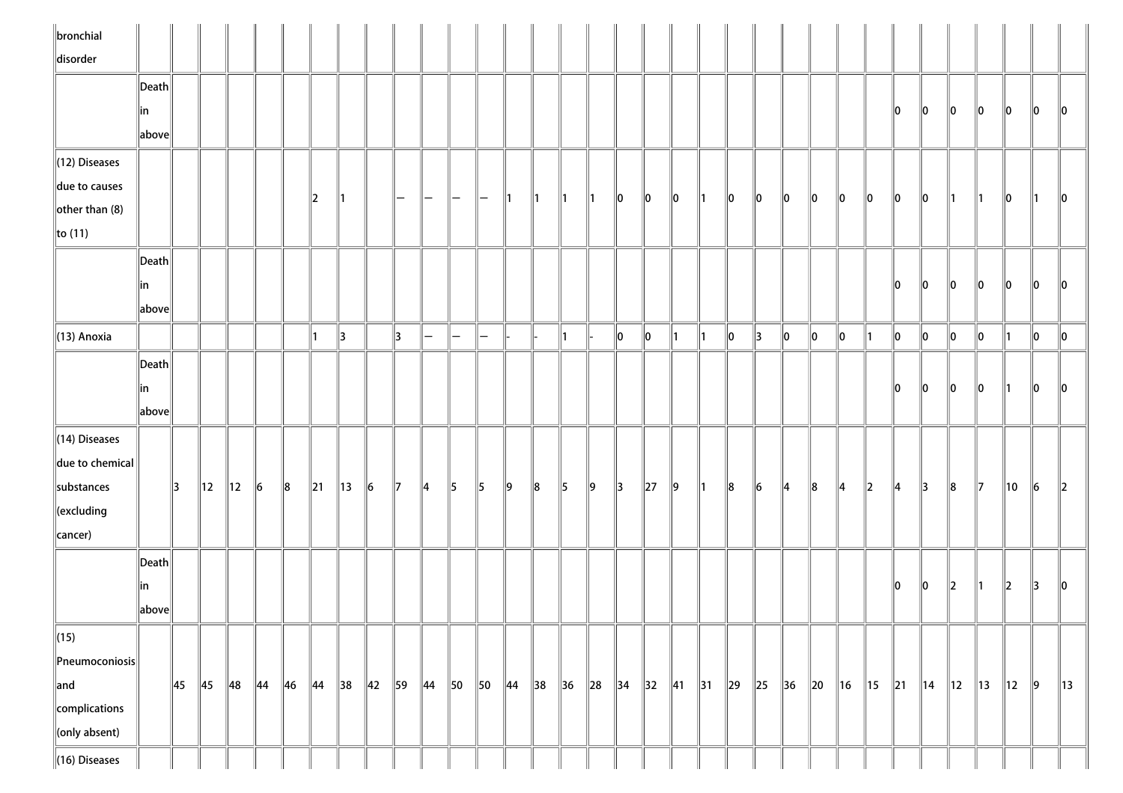| $\ $ bronchial            |                                        |    |                |                |                |                |                |                |                |                |                |                          |                          |                |                |                |          |                |               |               |               |       |               |                |         |                |             |               |                |                |                |           |               |                |
|---------------------------|----------------------------------------|----|----------------|----------------|----------------|----------------|----------------|----------------|----------------|----------------|----------------|--------------------------|--------------------------|----------------|----------------|----------------|----------|----------------|---------------|---------------|---------------|-------|---------------|----------------|---------|----------------|-------------|---------------|----------------|----------------|----------------|-----------|---------------|----------------|
| disorder                  |                                        |    |                |                |                |                |                |                |                |                |                |                          |                          |                |                |                |          |                |               |               |               |       |               |                |         |                |             |               |                |                |                |           |               |                |
|                           | $\left\Vert \mathsf{Death}\right\Vert$ |    |                |                |                |                |                |                |                |                |                |                          |                          |                |                |                |          |                |               |               |               |       |               |                |         |                |             |               |                |                |                |           |               |                |
|                           | in                                     |    |                |                |                |                |                |                |                |                |                |                          |                          |                |                |                |          |                |               |               |               |       |               |                |         |                |             | 10            | 10             | 10             | 10             | 10        | 10            | $\parallel 0$  |
|                           | above                                  |    |                |                |                |                |                |                |                |                |                |                          |                          |                |                |                |          |                |               |               |               |       |               |                |         |                |             |               |                |                |                |           |               |                |
| (12) Diseases             |                                        |    |                |                |                |                |                |                |                |                |                |                          |                          |                |                |                |          |                |               |               |               |       |               |                |         |                |             |               |                |                |                |           |               |                |
| due to causes             |                                        |    |                |                |                |                | $\mathbf{z}$   | ∥1             |                | —              | $\overline{}$  |                          |                          |                |                |                |          | 10             | 10            | $\parallel$ 0 | $\parallel$ 1 | 10    | $ 0\rangle$   | 10             | $\ 0\ $ | 10             | $\ 0\ $     | 10            | 10             | ∥1             | 11.            | 10        | 11.           | $\parallel$ 0  |
| other than $(8)$          |                                        |    |                |                |                |                |                |                |                |                |                |                          |                          |                |                |                |          |                |               |               |               |       |               |                |         |                |             |               |                |                |                |           |               |                |
| $\ $ to (11)              |                                        |    |                |                |                |                |                |                |                |                |                |                          |                          |                |                |                |          |                |               |               |               |       |               |                |         |                |             |               |                |                |                |           |               |                |
|                           | $\ $ Death $\ $                        |    |                |                |                |                |                |                |                |                |                |                          |                          |                |                |                |          |                |               |               |               |       |               |                |         |                |             |               |                |                |                |           |               |                |
|                           | in                                     |    |                |                |                |                |                |                |                |                |                |                          |                          |                |                |                |          |                |               |               |               |       |               |                |         |                |             | 10            | 10             | 10             | 10             | 10        | 10            | 10             |
|                           | $\left\Vert \text{above}\right\Vert$   |    |                |                |                |                |                |                |                |                |                |                          |                          |                |                |                |          |                |               |               |               |       |               |                |         |                |             |               |                |                |                |           |               |                |
| $\parallel$ (13) Anoxia   |                                        |    |                |                |                |                | 11             | 3              |                | 13             | $-$            | $\overline{\phantom{0}}$ | $\overline{\phantom{0}}$ |                |                | ∥1             |          | $\ 0\ $        | $\parallel$ 0 | ∥1            | $\parallel$ 1 | 10    | $\parallel$ 3 | $\ 0\ $        | $\ 0\ $ | 10             | ∥1          | $\ 0\ $       | ∥0             | $\ 0\ $        | 10             | $\vert$ 1 | 10            | $\ 0\ $        |
|                           | Death                                  |    |                |                |                |                |                |                |                |                |                |                          |                          |                |                |                |          |                |               |               |               |       |               |                |         |                |             |               |                |                |                |           |               |                |
|                           | in                                     |    |                |                |                |                |                |                |                |                |                |                          |                          |                |                |                |          |                |               |               |               |       |               |                |         |                |             | llo.          | 10             | 10             | 10             | ∥1∶       | 10            | $\parallel$ 0  |
|                           | above                                  |    |                |                |                |                |                |                |                |                |                |                          |                          |                |                |                |          |                |               |               |               |       |               |                |         |                |             |               |                |                |                |           |               |                |
| $\parallel$ (14) Diseases |                                        |    |                |                |                |                |                |                |                |                |                |                          |                          |                |                |                |          |                |               |               |               |       |               |                |         |                |             |               |                |                |                |           |               |                |
| $\ $ due to chemical $\ $ |                                        |    |                |                |                |                |                |                |                |                |                |                          |                          |                |                |                |          |                |               |               |               |       |               |                |         |                |             |               |                |                |                |           |               |                |
| substances                |                                        | 13 | $\parallel$ 12 | 12             | ∥6             | $\ 8$          | $\parallel$ 21 | $\parallel$ 13 | $\vert$ 6      | $\parallel$ 7  | $\parallel$ 4  | $\parallel$ 5            | $\parallel$ 5            | $\vert$ 9      | $\ 8$          | $\parallel$ 5  | $\ 9\ $  | $\parallel$ 3  | $\ 27\ $      | $\ 9\ $       | $\parallel$ 1 | $\ 8$ | $\vert$ 6     | $\parallel$ 4  | $\ 8$   | $\parallel$ 4  | $\ 2\ $     | $\parallel$ 4 | $\parallel$ 3  | $\ 8$          | $\mathbb{I}$   | 10        | 16            | $\ 2\ $        |
| $\ $ (excluding           |                                        |    |                |                |                |                |                |                |                |                |                |                          |                          |                |                |                |          |                |               |               |               |       |               |                |         |                |             |               |                |                |                |           |               |                |
| cancer)                   |                                        |    |                |                |                |                |                |                |                |                |                |                          |                          |                |                |                |          |                |               |               |               |       |               |                |         |                |             |               |                |                |                |           |               |                |
|                           | $\vert$ Death $\vert$                  |    |                |                |                |                |                |                |                |                |                |                          |                          |                |                |                |          |                |               |               |               |       |               |                |         |                |             |               |                |                |                |           |               |                |
|                           | in                                     |    |                |                |                |                |                |                |                |                |                |                          |                          |                |                |                |          |                |               |               |               |       |               |                |         |                |             | 10            | $\ 0\ $        | $\ 2\ $        | ∥1∶            | $\ 2\ $   | 13            | 10             |
|                           | above                                  |    |                |                |                |                |                |                |                |                |                |                          |                          |                |                |                |          |                |               |               |               |       |               |                |         |                |             |               |                |                |                |           |               |                |
| $\sqrt{(15)}$             |                                        |    |                |                |                |                |                |                |                |                |                |                          |                          |                |                |                |          |                |               |               |               |       |               |                |         |                |             |               |                |                |                |           |               |                |
| $\ $ Pneumoconiosis $\ $  |                                        |    |                |                |                |                |                |                |                |                |                |                          |                          |                |                |                |          |                |               |               |               |       |               |                |         |                |             |               |                |                |                |           |               |                |
| $\ $ and                  |                                        | 45 | $\parallel$ 45 | $\parallel$ 48 | $\parallel$ 44 | $\parallel$ 46 | $\parallel$ 44 | $\parallel$ 38 | $\parallel$ 42 | $\parallel$ 59 | $\parallel$ 44 | $\parallel$ 50           | $\parallel$ 50           | $\parallel$ 44 | $\parallel$ 38 | $\parallel$ 36 | $\ 28\ $ | $\parallel$ 34 |               | 32 41 31 29   |               |       |               | $\ 25\ 36\ 20$ |         | $\parallel$ 16 | $\ 15\ $ 21 |               | $\parallel$ 14 | $\parallel$ 12 | $\parallel$ 13 | 12        | $\parallel$ 9 | $\parallel$ 13 |
| complications             |                                        |    |                |                |                |                |                |                |                |                |                |                          |                          |                |                |                |          |                |               |               |               |       |               |                |         |                |             |               |                |                |                |           |               |                |
| $\ $ (only absent)        |                                        |    |                |                |                |                |                |                |                |                |                |                          |                          |                |                |                |          |                |               |               |               |       |               |                |         |                |             |               |                |                |                |           |               |                |
| $\ $ (16) Diseases        |                                        |    |                |                |                |                |                |                |                |                |                |                          |                          |                |                |                |          |                |               |               |               |       |               |                |         |                |             |               |                |                |                |           |               |                |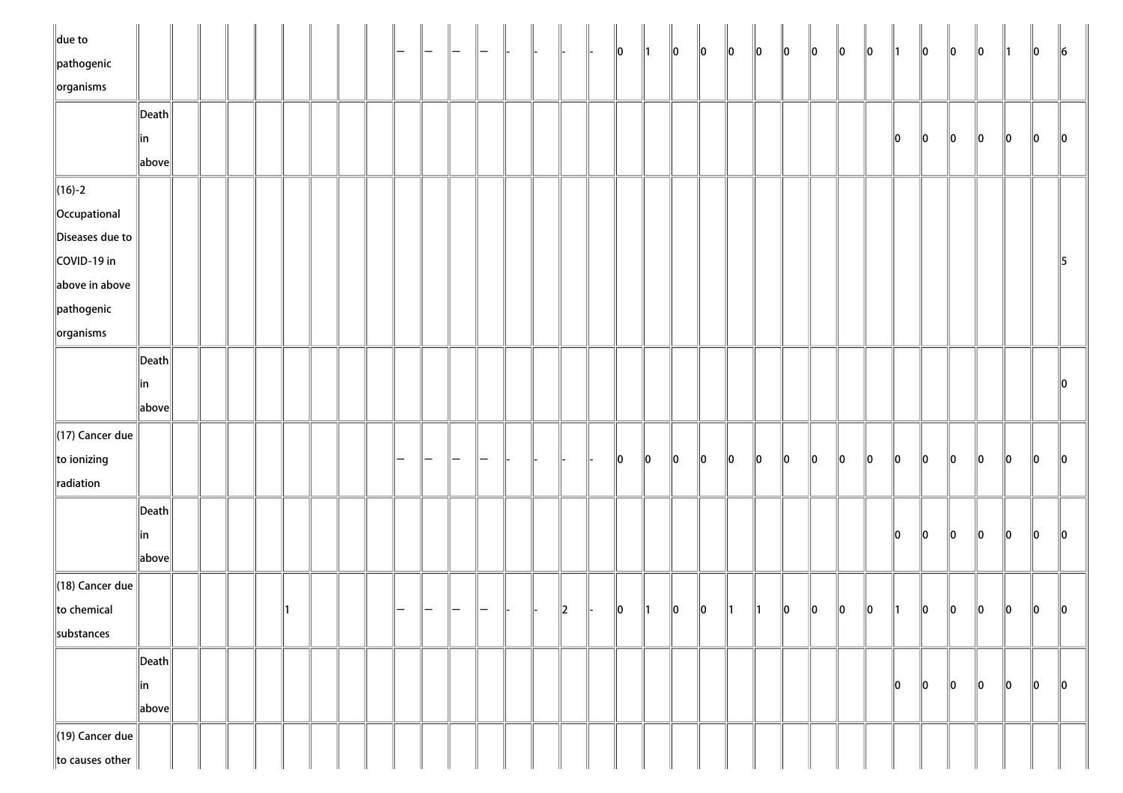| $\ $ due to<br>$\parallel$ pathogenic |                                        |  |  |  |  |  |  |  |               | 10            | $\parallel$ 1 | $\ 0\ $     | $\ 0\ $ | $\ 0\ $       | $\ 0\ $      | $\ 0\ $     | $\ 0\ $     | $\ 0\ $ | $\ 0\ $ | $\parallel$ 1 | $\ 0\ $ | $\ 0\ $ | 10      | $\parallel$ 1 | 10      | $\ 6\ $       |
|---------------------------------------|----------------------------------------|--|--|--|--|--|--|--|---------------|---------------|---------------|-------------|---------|---------------|--------------|-------------|-------------|---------|---------|---------------|---------|---------|---------|---------------|---------|---------------|
| $\sqrt{\frac{1}{10}}$ organisms       |                                        |  |  |  |  |  |  |  |               |               |               |             |         |               |              |             |             |         |         |               |         |         |         |               |         |               |
|                                       |                                        |  |  |  |  |  |  |  |               |               |               |             |         |               |              |             |             |         |         |               |         |         |         |               |         |               |
|                                       | $\ $ Death $\ $                        |  |  |  |  |  |  |  |               |               |               |             |         |               |              |             |             |         |         | 10            | $\ 0\ $ | $\ 0\ $ | $\ 0\ $ | $\ 0\ $       | $\ 0\ $ | $\ 0\ $       |
|                                       | ∥in<br>$\ $ above $\ $                 |  |  |  |  |  |  |  |               |               |               |             |         |               |              |             |             |         |         |               |         |         |         |               |         |               |
|                                       |                                        |  |  |  |  |  |  |  |               |               |               |             |         |               |              |             |             |         |         |               |         |         |         |               |         |               |
| $\ $ (16)-2                           |                                        |  |  |  |  |  |  |  |               |               |               |             |         |               |              |             |             |         |         |               |         |         |         |               |         |               |
| Occupational                          |                                        |  |  |  |  |  |  |  |               |               |               |             |         |               |              |             |             |         |         |               |         |         |         |               |         |               |
| Diseases due to                       |                                        |  |  |  |  |  |  |  |               |               |               |             |         |               |              |             |             |         |         |               |         |         |         |               |         |               |
| COVID-19 in                           |                                        |  |  |  |  |  |  |  |               |               |               |             |         |               |              |             |             |         |         |               |         |         |         |               |         | $\parallel$ 5 |
| above in above                        |                                        |  |  |  |  |  |  |  |               |               |               |             |         |               |              |             |             |         |         |               |         |         |         |               |         |               |
| $\parallel$ pathogenic                |                                        |  |  |  |  |  |  |  |               |               |               |             |         |               |              |             |             |         |         |               |         |         |         |               |         |               |
| $\left\Vert$ organisms                |                                        |  |  |  |  |  |  |  |               |               |               |             |         |               |              |             |             |         |         |               |         |         |         |               |         |               |
|                                       | $\ $ Death $\ $                        |  |  |  |  |  |  |  |               |               |               |             |         |               |              |             |             |         |         |               |         |         |         |               |         |               |
|                                       | in                                     |  |  |  |  |  |  |  |               |               |               |             |         |               |              |             |             |         |         |               |         |         |         |               |         | $\ 0\ $       |
|                                       | $\ $ above $\ $                        |  |  |  |  |  |  |  |               |               |               |             |         |               |              |             |             |         |         |               |         |         |         |               |         |               |
| $\parallel$ (17) Cancer due           |                                        |  |  |  |  |  |  |  |               |               |               |             |         |               |              |             |             |         |         |               |         |         |         |               |         |               |
| to ionizing                           |                                        |  |  |  |  |  |  |  |               | $\parallel$ 0 | 10            | $ 0\rangle$ | $\ 0\ $ | $\ 0\ $       | $ 0\rangle$  | $ 0\rangle$ | $\ 0\ $     | $\ 0\ $ | $\ 0\ $ | $\ 0\ $       | $\ 0\ $ | $\ 0\ $ | $\ 0\ $ | $\ 0\ $       | $\ 0\ $ | $\ 0\ $       |
| radiation                             |                                        |  |  |  |  |  |  |  |               |               |               |             |         |               |              |             |             |         |         |               |         |         |         |               |         |               |
|                                       | $\left\Vert \mathsf{Death}\right\Vert$ |  |  |  |  |  |  |  |               |               |               |             |         |               |              |             |             |         |         |               |         |         |         |               |         |               |
|                                       | ∥in                                    |  |  |  |  |  |  |  |               |               |               |             |         |               |              |             |             |         |         | $\ 0\ $       | $\ 0\ $ | $\ 0\ $ | $\ 0\ $ | $\ 0\ $       | $\ 0\ $ | $\ 0\ $       |
|                                       | $\ $ above $\ $                        |  |  |  |  |  |  |  |               |               |               |             |         |               |              |             |             |         |         |               |         |         |         |               |         |               |
| $\parallel$ (18) Cancer due           |                                        |  |  |  |  |  |  |  |               |               |               |             |         |               |              |             |             |         |         |               |         |         |         |               |         |               |
|                                       |                                        |  |  |  |  |  |  |  |               |               |               |             |         |               |              |             |             |         |         |               |         |         |         |               |         |               |
| to chemical                           |                                        |  |  |  |  |  |  |  | $\parallel$ 2 | 10            | $\parallel$ 1 | 10          | $\ 0\ $ | $\parallel$ 1 | $\mathsf{I}$ | 10          | $ 0\rangle$ | $\ 0\ $ | $\ 0\ $ | $\parallel$ 1 | $\ 0\ $ | 10      | $\ 0\ $ | $\ 0\ $       | $\ 0\ $ | $\parallel$ 0 |
| substances                            |                                        |  |  |  |  |  |  |  |               |               |               |             |         |               |              |             |             |         |         |               |         |         |         |               |         |               |
|                                       | $\left\Vert \mathsf{Death}\right\Vert$ |  |  |  |  |  |  |  |               |               |               |             |         |               |              |             |             |         |         |               |         |         |         |               |         |               |
|                                       | ∥in                                    |  |  |  |  |  |  |  |               |               |               |             |         |               |              |             |             |         |         | 10            | 10      | 10      | $\ 0\ $ | $\ 0\ $       | $\ 0\ $ | $\ 0\ $       |
|                                       | $\ $ above $\ $                        |  |  |  |  |  |  |  |               |               |               |             |         |               |              |             |             |         |         |               |         |         |         |               |         |               |
| $\parallel$ (19) Cancer due           |                                        |  |  |  |  |  |  |  |               |               |               |             |         |               |              |             |             |         |         |               |         |         |         |               |         |               |
| to causes other                       |                                        |  |  |  |  |  |  |  |               |               |               |             |         |               |              |             |             |         |         |               |         |         |         |               |         |               |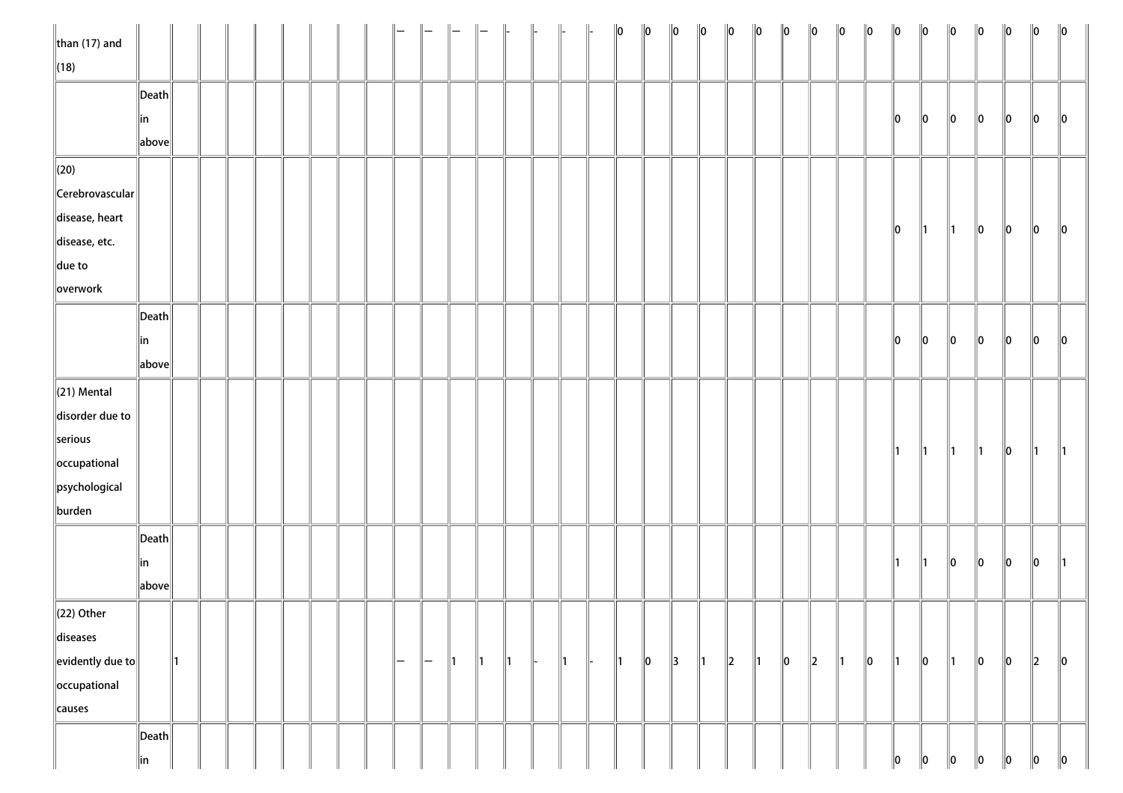| $\ $ than (17) and                          |                       |               |  |  |  |     |               |               |               | $\Big\ $      | $\parallel$ |               | $\ 0\ $       | $\ 0\ $ | $\ 0\ $       | $\ 0\ $       | $\ 0\ $ | $\ 0\ $       | $\ 0\ $ | $\ 0\ $ | $\ 0\ $       | $\ 0\ $ | $\ 0\ $       | $\ 0\ $       | $\ 0\ $       | $\ 0\ $       | $\ 0\ $ | $\ 0\ $   | $\ 0\ $       |
|---------------------------------------------|-----------------------|---------------|--|--|--|-----|---------------|---------------|---------------|---------------|-------------|---------------|---------------|---------|---------------|---------------|---------|---------------|---------|---------|---------------|---------|---------------|---------------|---------------|---------------|---------|-----------|---------------|
| $\ $ (18)                                   |                       |               |  |  |  |     |               |               |               |               |             |               |               |         |               |               |         |               |         |         |               |         |               |               |               |               |         |           |               |
|                                             | $\ $ Death $\ $       |               |  |  |  |     |               |               |               |               |             |               |               |         |               |               |         |               |         |         |               |         |               |               |               |               |         |           |               |
|                                             | ∥in                   |               |  |  |  |     |               |               |               |               |             |               |               |         |               |               |         |               |         |         |               |         | 10            | $\ 0\ $       | $\ 0\ $       | 10            | 10      | 10        | $\parallel$ 0 |
|                                             | above                 |               |  |  |  |     |               |               |               |               |             |               |               |         |               |               |         |               |         |         |               |         |               |               |               |               |         |           |               |
| $\ $ (20)                                   |                       |               |  |  |  |     |               |               |               |               |             |               |               |         |               |               |         |               |         |         |               |         |               |               |               |               |         |           |               |
| $\ $ Cerebrovascular $\ $                   |                       |               |  |  |  |     |               |               |               |               |             |               |               |         |               |               |         |               |         |         |               |         |               |               |               |               |         |           |               |
| disease, heart                              |                       |               |  |  |  |     |               |               |               |               |             |               |               |         |               |               |         |               |         |         |               |         |               |               |               |               |         |           |               |
| disease, etc.                               |                       |               |  |  |  |     |               |               |               |               |             |               |               |         |               |               |         |               |         |         |               |         | $\ 0\ $       | $\parallel$ 1 | $\parallel$ 1 | $\ 0\ $       | 10      | $\ 0\ $   | 10            |
| $\ $ due to                                 |                       |               |  |  |  |     |               |               |               |               |             |               |               |         |               |               |         |               |         |         |               |         |               |               |               |               |         |           |               |
| overwork                                    |                       |               |  |  |  |     |               |               |               |               |             |               |               |         |               |               |         |               |         |         |               |         |               |               |               |               |         |           |               |
|                                             | $\vert$ Death $\vert$ |               |  |  |  |     |               |               |               |               |             |               |               |         |               |               |         |               |         |         |               |         |               |               |               |               |         |           |               |
|                                             | in                    |               |  |  |  |     |               |               |               |               |             |               |               |         |               |               |         |               |         |         |               |         | $\ 0\ $       | $\ 0\ $       | $\ 0\ $       | $\ 0\ $       | $\ 0\ $ | 10        | $\parallel$ 0 |
|                                             | above                 |               |  |  |  |     |               |               |               |               |             |               |               |         |               |               |         |               |         |         |               |         |               |               |               |               |         |           |               |
| $\ $ (21) Mental                            |                       |               |  |  |  |     |               |               |               |               |             |               |               |         |               |               |         |               |         |         |               |         |               |               |               |               |         |           |               |
| disorder due to                             |                       |               |  |  |  |     |               |               |               |               |             |               |               |         |               |               |         |               |         |         |               |         |               |               |               |               |         |           |               |
| serious                                     |                       |               |  |  |  |     |               |               |               |               |             |               |               |         |               |               |         |               |         |         |               |         |               |               |               |               |         |           |               |
| occupational                                |                       |               |  |  |  |     |               |               |               |               |             |               |               |         |               |               |         |               |         |         |               |         | $\parallel$ 1 | $\parallel$ 1 | $\parallel$ 1 | $\parallel$ 1 | $\ 0\ $ | 11        | $\parallel$ 1 |
| psychological                               |                       |               |  |  |  |     |               |               |               |               |             |               |               |         |               |               |         |               |         |         |               |         |               |               |               |               |         |           |               |
| burden                                      |                       |               |  |  |  |     |               |               |               |               |             |               |               |         |               |               |         |               |         |         |               |         |               |               |               |               |         |           |               |
|                                             | $\ $ Death $\ $       |               |  |  |  |     |               |               |               |               |             |               |               |         |               |               |         |               |         |         |               |         |               |               |               |               |         |           |               |
|                                             | ∥in                   |               |  |  |  |     |               |               |               |               |             |               |               |         |               |               |         |               |         |         |               |         | $\parallel$ 1 | $\parallel$ 1 | $ 0\rangle$   | $\ 0\ $       | $\ 0\ $ | $\ 0\ $   | $\parallel$ 1 |
|                                             | above                 |               |  |  |  |     |               |               |               |               |             |               |               |         |               |               |         |               |         |         |               |         |               |               |               |               |         |           |               |
| $\ $ (22) Other                             |                       |               |  |  |  |     |               |               |               |               |             |               |               |         |               |               |         |               |         |         |               |         |               |               |               |               |         |           |               |
| diseases                                    |                       |               |  |  |  |     |               |               |               |               |             |               |               |         |               |               |         |               |         |         |               |         |               |               |               |               |         |           |               |
| $\left\Vert$ evidently due to $\right\Vert$ |                       | $\parallel$ 1 |  |  |  | $-$ | $\overline{}$ | $\parallel$ 1 | $\parallel$ 1 | $\parallel$ 1 |             | $\parallel$ 1 | $\parallel$ 1 | $\ 0\ $ | $\parallel$ 3 | $\parallel$ 1 | $\ 2\ $ | $\parallel$ 1 | $\ 0\ $ | $\ 2\ $ | $\parallel$ 1 | $\ 0\ $ | $\parallel$ 1 | $\ 0\ $       | $\parallel$ 1 | $\ 0\ $       | $\ 0\ $ | $\vert$ 2 | $\ 0\ $       |
| occupational                                |                       |               |  |  |  |     |               |               |               |               |             |               |               |         |               |               |         |               |         |         |               |         |               |               |               |               |         |           |               |
| causes                                      |                       |               |  |  |  |     |               |               |               |               |             |               |               |         |               |               |         |               |         |         |               |         |               |               |               |               |         |           |               |
|                                             | $\vert$ Death $\vert$ |               |  |  |  |     |               |               |               |               |             |               |               |         |               |               |         |               |         |         |               |         |               |               |               |               |         |           |               |
|                                             | in                    |               |  |  |  |     |               |               |               |               |             |               |               |         |               |               |         |               |         |         |               |         | 10            | 10            | 10            | 10            | 10      | 10        | $\ 0\ $       |